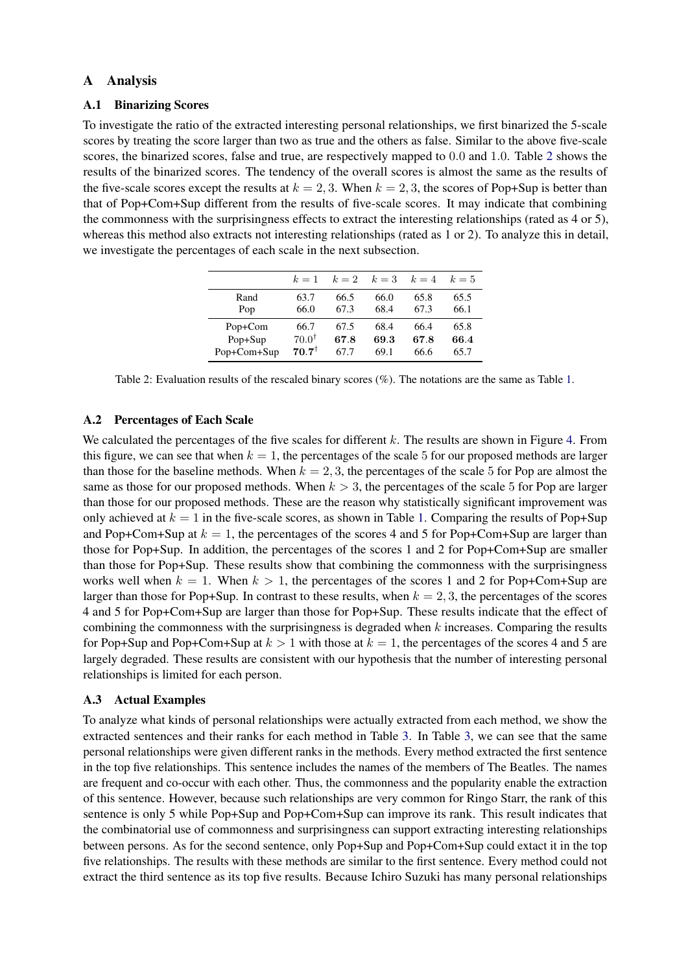## A Analysis

## A.1 Binarizing Scores

To investigate the ratio of the extracted interesting personal relationships, we first binarized the 5-scale scores by treating the score larger than two as true and the others as false. Similar to the above five-scale scores, the binarized scores, false and true, are respectively mapped to 0.0 and 1.0. Table [2](#page-0-0) shows the results of the binarized scores. The tendency of the overall scores is almost the same as the results of the five-scale scores except the results at  $k = 2, 3$ . When  $k = 2, 3$ , the scores of Pop+Sup is better than that of Pop+Com+Sup different from the results of five-scale scores. It may indicate that combining the commonness with the surprisingness effects to extract the interesting relationships (rated as 4 or 5), whereas this method also extracts not interesting relationships (rated as 1 or 2). To analyze this in detail, we investigate the percentages of each scale in the next subsection.

|             | $k=1$            | $k=2$ | $k=3$ | $k=4$ | $k=5$ |
|-------------|------------------|-------|-------|-------|-------|
| Rand        | 63.7             | 66.5  | 66.0  | 65.8  | 65.5  |
| Pop         | 66.0             | 67.3  | 68.4  | 67.3  | 66.1  |
| Pop+Com     | 66.7             | 67.5  | 68.4  | 66.4  | 65.8  |
| Pop+Sup     | $70.0^{\dagger}$ | 67.8  | 69.3  | 67.8  | 66.4  |
| Pop+Com+Sup | $70.7^{\dagger}$ | 67.7  | 69.1  | 66.6  | 65.7  |

<span id="page-0-0"></span>Table 2: Evaluation results of the rescaled binary scores (%). The notations are the same as Table [1.](#page--1-0)

## A.2 Percentages of Each Scale

We calculated the percentages of the five scales for different k. The results are shown in Figure [4.](#page-1-0) From this figure, we can see that when  $k = 1$ , the percentages of the scale 5 for our proposed methods are larger than those for the baseline methods. When  $k = 2, 3$ , the percentages of the scale 5 for Pop are almost the same as those for our proposed methods. When  $k > 3$ , the percentages of the scale 5 for Pop are larger than those for our proposed methods. These are the reason why statistically significant improvement was only achieved at  $k = 1$  in the five-scale scores, as shown in Table [1.](#page--1-0) Comparing the results of Pop+Sup and Pop+Com+Sup at  $k = 1$ , the percentages of the scores 4 and 5 for Pop+Com+Sup are larger than those for Pop+Sup. In addition, the percentages of the scores 1 and 2 for Pop+Com+Sup are smaller than those for Pop+Sup. These results show that combining the commonness with the surprisingness works well when  $k = 1$ . When  $k > 1$ , the percentages of the scores 1 and 2 for Pop+Com+Sup are larger than those for Pop+Sup. In contrast to these results, when  $k = 2, 3$ , the percentages of the scores 4 and 5 for Pop+Com+Sup are larger than those for Pop+Sup. These results indicate that the effect of combining the commonness with the surprisingness is degraded when  $k$  increases. Comparing the results for Pop+Sup and Pop+Com+Sup at  $k > 1$  with those at  $k = 1$ , the percentages of the scores 4 and 5 are largely degraded. These results are consistent with our hypothesis that the number of interesting personal relationships is limited for each person.

## A.3 Actual Examples

To analyze what kinds of personal relationships were actually extracted from each method, we show the extracted sentences and their ranks for each method in Table [3.](#page-1-1) In Table [3,](#page-1-1) we can see that the same personal relationships were given different ranks in the methods. Every method extracted the first sentence in the top five relationships. This sentence includes the names of the members of The Beatles. The names are frequent and co-occur with each other. Thus, the commonness and the popularity enable the extraction of this sentence. However, because such relationships are very common for Ringo Starr, the rank of this sentence is only 5 while Pop+Sup and Pop+Com+Sup can improve its rank. This result indicates that the combinatorial use of commonness and surprisingness can support extracting interesting relationships between persons. As for the second sentence, only Pop+Sup and Pop+Com+Sup could extact it in the top five relationships. The results with these methods are similar to the first sentence. Every method could not extract the third sentence as its top five results. Because Ichiro Suzuki has many personal relationships